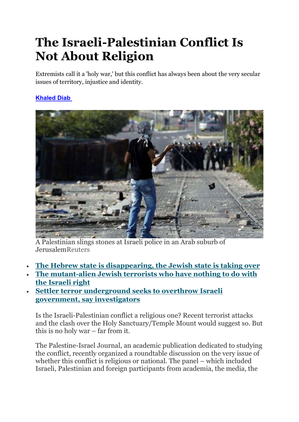## The Israeli-Palestinian Conflict Is Not About Religion

Extremists call it a 'holy war,' but this conflict has always been about the very secular issues of territory, injustice and identity.

## Khaled Diab



A Palestinian slings stones at Israeli police in an Arab suburb of JerusalemReuters

- The Hebrew state is disappearing, the Jewish state is taking over
- The mutant-alien Jewish terrorists who have nothing to do with the Israeli right
- Settler terror underground seeks to overthrow Israeli government, say investigators

Is the Israeli-Palestinian conflict a religious one? Recent terrorist attacks and the clash over the Holy Sanctuary/Temple Mount would suggest so. But this is no holy war – far from it.

The Palestine-Israel Journal, an academic publication dedicated to studying the conflict, recently organized a roundtable discussion on the very issue of whether this conflict is religious or national. The panel – which included Israeli, Palestinian and foreign participants from academia, the media, the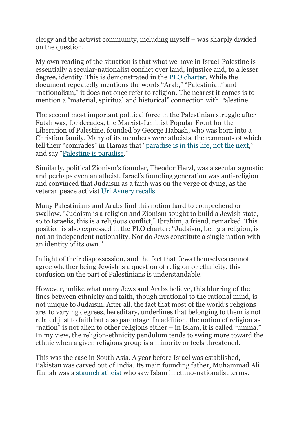clergy and the activist community, including myself – was sharply divided on the question.

My own reading of the situation is that what we have in Israel-Palestine is essentially a secular-nationalist conflict over land, injustice and, to a lesser degree, identity. This is demonstrated in the PLO charter. While the document repeatedly mentions the words "Arab," "Palestinian" and "nationalism," it does not once refer to religion. The nearest it comes is to mention a "material, spiritual and historical" connection with Palestine.

The second most important political force in the Palestinian struggle after Fatah was, for decades, the Marxist-Leninist Popular Front for the Liberation of Palestine, founded by George Habash, who was born into a Christian family. Many of its members were atheists, the remnants of which tell their "comrades" in Hamas that "paradise is in this life, not the next," and say "Palestine is paradise."

Similarly, political Zionism's founder, Theodor Herzl, was a secular agnostic and perhaps even an atheist. Israel's founding generation was anti-religion and convinced that Judaism as a faith was on the verge of dying, as the veteran peace activist Uri Avnery recalls.

Many Palestinians and Arabs find this notion hard to comprehend or swallow. "Judaism is a religion and Zionism sought to build a Jewish state, so to Israelis, this is a religious conflict," Ibrahim, a friend, remarked. This position is also expressed in the PLO charter: "Judaism, being a religion, is not an independent nationality. Nor do Jews constitute a single nation with an identity of its own."

In light of their dispossession, and the fact that Jews themselves cannot agree whether being Jewish is a question of religion or ethnicity, this confusion on the part of Palestinians is understandable.

However, unlike what many Jews and Arabs believe, this blurring of the lines between ethnicity and faith, though irrational to the rational mind, is not unique to Judaism. After all, the fact that most of the world's religions are, to varying degrees, hereditary, underlines that belonging to them is not related just to faith but also parentage. In addition, the notion of religion as "nation" is not alien to other religions either – in Islam, it is called "umma." In my view, the religion-ethnicity pendulum tends to swing more toward the ethnic when a given religious group is a minority or feels threatened.

This was the case in South Asia. A year before Israel was established, Pakistan was carved out of India. Its main founding father, Muhammad Ali Jinnah was a staunch atheist who saw Islam in ethno-nationalist terms.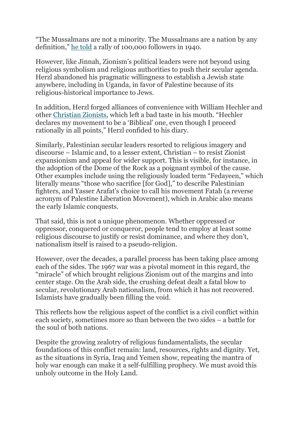"The Mussalmans are not a minority. The Mussalmans are a nation by any definition," he told a rally of 100,000 followers in 1940.

However, like Jinnah, Zionism's political leaders were not beyond using religious symbolism and religious authorities to push their secular agenda. Herzl abandoned his pragmatic willingness to establish a Jewish state anywhere, including in Uganda, in favor of Palestine because of its religious-historical importance to Jews.

In addition, Herzl forged alliances of convenience with William Hechler and other Christian Zionists, which left a bad taste in his mouth. "Hechler declares my movement to be a 'Biblical' one, even though I proceed rationally in all points," Herzl confided to his diary.

Similarly, Palestinian secular leaders resorted to religious imagery and discourse – Islamic and, to a lesser extent, Christian – to resist Zionist expansionism and appeal for wider support. This is visible, for instance, in the adoption of the Dome of the Rock as a poignant symbol of the cause. Other examples include using the religiously loaded term "Fedayeen," which literally means "those who sacrifice [for God]," to describe Palestinian fighters, and Yasser Arafat's choice to call his movement Fatah (a reverse acronym of Palestine Liberation Movement), which in Arabic also means the early Islamic conquests.

That said, this is not a unique phenomenon. Whether oppressed or oppressor, conquered or conqueror, people tend to employ at least some religious discourse to justify or resist dominance, and where they don't, nationalism itself is raised to a pseudo-religion.

However, over the decades, a parallel process has been taking place among each of the sides. The 1967 war was a pivotal moment in this regard, the "miracle" of which brought religious Zionism out of the margins and into center stage. On the Arab side, the crushing defeat dealt a fatal blow to secular, revolutionary Arab nationalism, from which it has not recovered. Islamists have gradually been filling the void.

This reflects how the religious aspect of the conflict is a civil conflict within each society, sometimes more so than between the two sides – a battle for the soul of both nations.

Despite the growing zealotry of religious fundamentalists, the secular foundations of this conflict remain: land, resources, rights and dignity. Yet, as the situations in Syria, Iraq and Yemen show, repeating the mantra of holy war enough can make it a self-fulfilling prophecy. We must avoid this unholy outcome in the Holy Land.